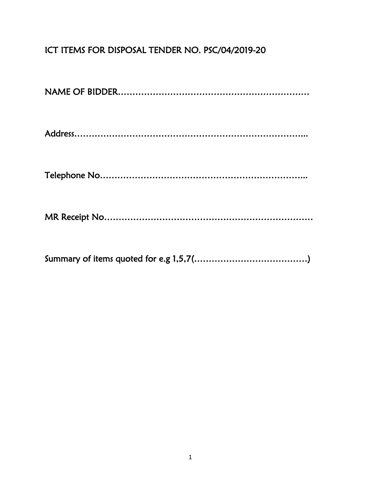## ICT ITEMS FOR DISPOSAL TENDER NO. PSC/04/2019-20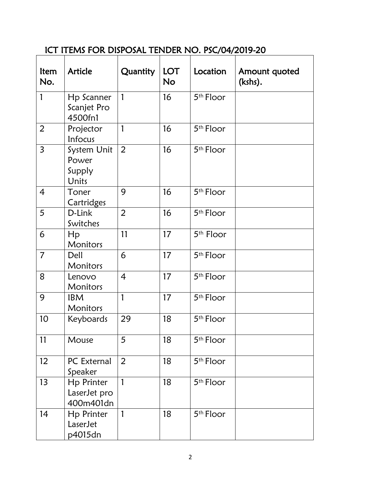## ICT ITEMS FOR DISPOSAL TENDER NO. PSC/04/2019-20

| ltem<br>No.    | <b>Article</b>                             | <b>Quantity</b> | <b>LOT</b><br><b>No</b> | Location              | Amount quoted<br>(kshs). |
|----------------|--------------------------------------------|-----------------|-------------------------|-----------------------|--------------------------|
| 1              | Hp Scanner<br>Scanjet Pro<br>4500fn1       | $\mathbf{1}$    | 16                      | 5 <sup>th</sup> Floor |                          |
| $\overline{2}$ | Projector<br>Infocus                       | 1               | 16                      | 5 <sup>th</sup> Floor |                          |
| $\overline{3}$ | System Unit<br>Power<br>Supply<br>Units    | 2               | 16                      | 5 <sup>th</sup> Floor |                          |
| $\overline{4}$ | Toner<br>Cartridges                        | 9               | 16                      | 5 <sup>th</sup> Floor |                          |
| 5              | D-Link<br>Switches                         | $\overline{2}$  | 16                      | 5th Floor             |                          |
| 6              | $\mathsf{H} \mathsf{p}$<br><b>Monitors</b> | 11              | 17                      | 5 <sup>th</sup> Floor |                          |
| $\overline{7}$ | Dell<br>Monitors                           | 6               | 17                      | 5 <sup>th</sup> Floor |                          |
| 8              | Lenovo<br>Monitors                         | $\overline{4}$  | 17                      | 5 <sup>th</sup> Floor |                          |
| 9              | <b>IBM</b><br><b>Monitors</b>              | 1               | 17                      | 5 <sup>th</sup> Floor |                          |
| 10             | Keyboards                                  | 29              | 18                      | 5 <sup>th</sup> Floor |                          |
| 11             | Mouse                                      | 5               | 18                      | 5 <sup>th</sup> Floor |                          |
| 12             | PC External<br>Speaker                     | $\overline{2}$  | 18                      | 5 <sup>th</sup> Floor |                          |
| 13             | Hp Printer<br>LaserJet pro<br>400m401dn    | 1               | 18                      | 5 <sup>th</sup> Floor |                          |
| 14             | Hp Printer<br>LaserJet<br>p4015dn          | 1               | 18                      | 5 <sup>th</sup> Floor |                          |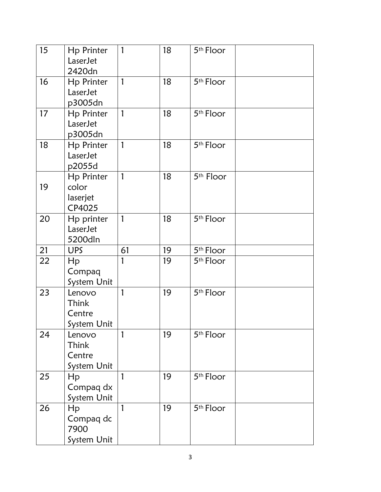| 15 | Hp Printer<br>LaserJet<br>2420dn          | $\mathbf{1}$ | 18 | 5 <sup>th</sup> Floor |  |
|----|-------------------------------------------|--------------|----|-----------------------|--|
| 16 | Hp Printer<br>LaserJet<br>p3005dn         | $\mathbf{1}$ | 18 | 5 <sup>th</sup> Floor |  |
| 17 | Hp Printer<br>LaserJet<br>p3005dn         | $\mathbf{1}$ | 18 | 5 <sup>th</sup> Floor |  |
| 18 | <b>Hp Printer</b><br>LaserJet<br>p2055d   | $\mathbf{1}$ | 18 | 5 <sup>th</sup> Floor |  |
| 19 | Hp Printer<br>color<br>laserjet<br>CP4025 | 1            | 18 | 5 <sup>th</sup> Floor |  |
| 20 | Hp printer<br>LaserJet<br>5200dln         | 1            | 18 | 5 <sup>th</sup> Floor |  |
| 21 | <b>UPS</b>                                | 61           | 19 | 5 <sup>th</sup> Floor |  |
|    |                                           |              |    |                       |  |
| 22 | Hp<br>Compaq<br>System Unit               | 1            | 19 | 5 <sup>th</sup> Floor |  |
| 23 | Lenovo<br>Think<br>Centre<br>System Unit  | 1            | 19 | 5 <sup>th</sup> Floor |  |
| 24 | Lenovo<br>Think<br>Centre<br>System Unit  | 1            | 19 | 5 <sup>th</sup> Floor |  |
| 25 | Hp<br>Compaq dx<br>System Unit            | 1            | 19 | 5 <sup>th</sup> Floor |  |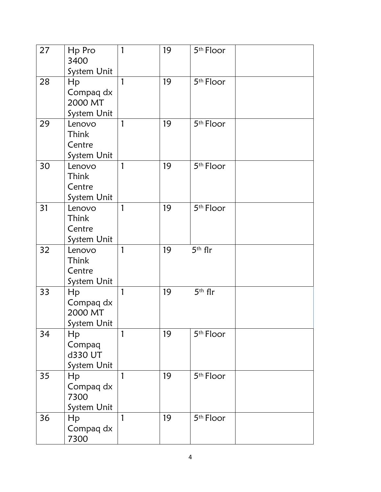| 27 | Hp Pro<br>3400<br>System Unit                              | 1 | 19 | 5 <sup>th</sup> Floor |
|----|------------------------------------------------------------|---|----|-----------------------|
| 28 | Hp<br>Compaq dx<br>2000 MT<br>System Unit                  | 1 | 19 | 5 <sup>th</sup> Floor |
| 29 | Lenovo<br>Think<br>Centre<br>System Unit                   | 1 | 19 | 5 <sup>th</sup> Floor |
| 30 | Lenovo<br>Think<br>Centre<br>System Unit                   | 1 | 19 | 5 <sup>th</sup> Floor |
| 31 | Lenovo<br>Think<br>Centre<br>System Unit                   | 1 | 19 | 5 <sup>th</sup> Floor |
| 32 | Lenovo<br>Think<br>Centre<br>System Unit                   | 1 | 19 | $5th$ flr             |
| 33 | Hp<br>Compaq dx<br>2000 MT<br>System Unit                  | 1 | 19 | 5th flr               |
| 34 | Hp<br>Compaq<br>d330 UT<br>System Unit                     | 1 | 19 | 5 <sup>th</sup> Floor |
| 35 | $\mathsf{H}\mathsf{p}$<br>Compaq dx<br>7300<br>System Unit | 1 | 19 | 5 <sup>th</sup> Floor |
| 36 | Hp<br>Compaq dx<br>7300                                    | 1 | 19 | 5 <sup>th</sup> Floor |